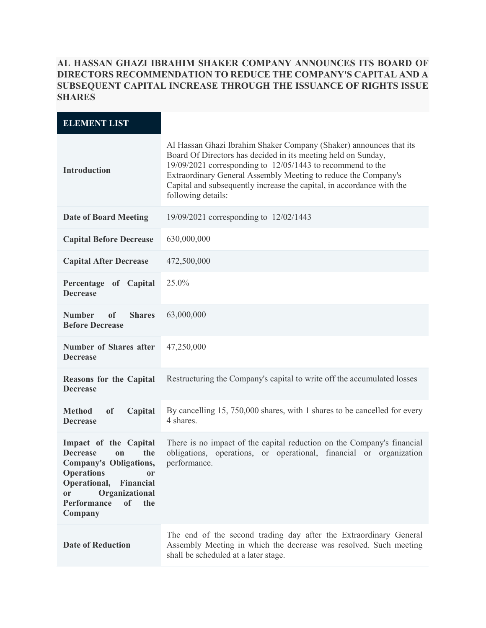## **AL HASSAN GHAZI IBRAHIM SHAKER COMPANY ANNOUNCES ITS BOARD OF DIRECTORS RECOMMENDATION TO REDUCE THE COMPANY'S CAPITAL AND A SUBSEQUENT CAPITAL INCREASE THROUGH THE ISSUANCE OF RIGHTS ISSUE SHARES**

| <b>ELEMENT LIST</b>                                                                                                                                                                                                                        |                                                                                                                                                                                                                                                                                                                                                                        |
|--------------------------------------------------------------------------------------------------------------------------------------------------------------------------------------------------------------------------------------------|------------------------------------------------------------------------------------------------------------------------------------------------------------------------------------------------------------------------------------------------------------------------------------------------------------------------------------------------------------------------|
| <b>Introduction</b>                                                                                                                                                                                                                        | Al Hassan Ghazi Ibrahim Shaker Company (Shaker) announces that its<br>Board Of Directors has decided in its meeting held on Sunday,<br>$19/09/2021$ corresponding to $12/05/1443$ to recommend to the<br>Extraordinary General Assembly Meeting to reduce the Company's<br>Capital and subsequently increase the capital, in accordance with the<br>following details: |
| <b>Date of Board Meeting</b>                                                                                                                                                                                                               | 19/09/2021 corresponding to 12/02/1443                                                                                                                                                                                                                                                                                                                                 |
| <b>Capital Before Decrease</b>                                                                                                                                                                                                             | 630,000,000                                                                                                                                                                                                                                                                                                                                                            |
| <b>Capital After Decrease</b>                                                                                                                                                                                                              | 472,500,000                                                                                                                                                                                                                                                                                                                                                            |
| Percentage of Capital<br><b>Decrease</b>                                                                                                                                                                                                   | 25.0%                                                                                                                                                                                                                                                                                                                                                                  |
| <b>Number</b><br><b>Shares</b><br><sub>of</sub><br><b>Before Decrease</b>                                                                                                                                                                  | 63,000,000                                                                                                                                                                                                                                                                                                                                                             |
| <b>Number of Shares after</b><br><b>Decrease</b>                                                                                                                                                                                           | 47,250,000                                                                                                                                                                                                                                                                                                                                                             |
| <b>Reasons for the Capital</b><br><b>Decrease</b>                                                                                                                                                                                          | Restructuring the Company's capital to write off the accumulated losses                                                                                                                                                                                                                                                                                                |
| <sub>of</sub><br><b>Method</b><br>Capital<br><b>Decrease</b>                                                                                                                                                                               | By cancelling 15, 750,000 shares, with 1 shares to be cancelled for every<br>4 shares.                                                                                                                                                                                                                                                                                 |
| Impact of the Capital<br><b>Decrease</b><br>the<br><sub>on</sub><br>Company's Obligations,<br><b>Operations</b><br>or<br>Operational,<br>Financial<br>Organizational<br><sub>or</sub><br><b>Performance</b><br><b>of</b><br>the<br>Company | There is no impact of the capital reduction on the Company's financial<br>obligations, operations, or operational, financial or organization<br>performance.                                                                                                                                                                                                           |
| <b>Date of Reduction</b>                                                                                                                                                                                                                   | The end of the second trading day after the Extraordinary General<br>Assembly Meeting in which the decrease was resolved. Such meeting<br>shall be scheduled at a later stage.                                                                                                                                                                                         |